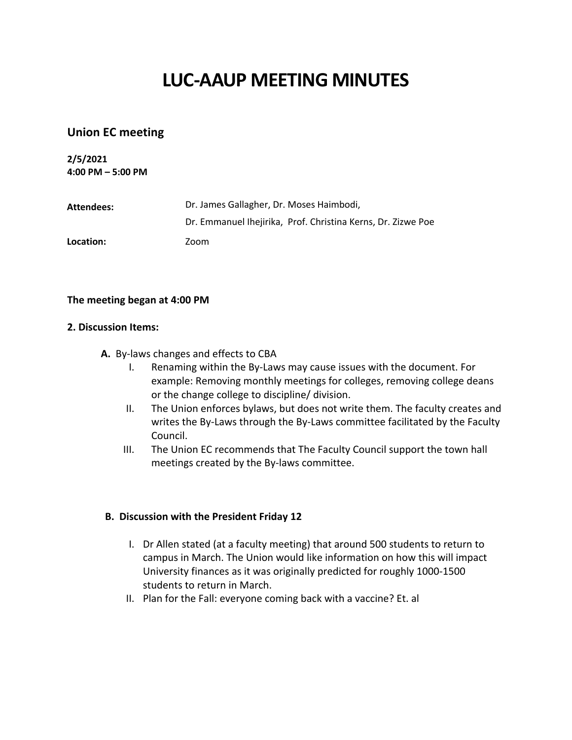# **LUC-AAUP MEETING MINUTES**

# **Union EC meeting**

**2/5/2021 4:00 PM – 5:00 PM**

| Attendees: | Dr. James Gallagher, Dr. Moses Haimbodi,                     |
|------------|--------------------------------------------------------------|
|            | Dr. Emmanuel Ihejirika, Prof. Christina Kerns, Dr. Zizwe Poe |
| Location:  | Zoom                                                         |

#### **The meeting began at 4:00 PM**

#### **2. Discussion Items:**

- **A.** By-laws changes and effects to CBA
	- I. Renaming within the By-Laws may cause issues with the document. For example: Removing monthly meetings for colleges, removing college deans or the change college to discipline/ division.
	- II. The Union enforces bylaws, but does not write them. The faculty creates and writes the By-Laws through the By-Laws committee facilitated by the Faculty Council.
	- III. The Union EC recommends that The Faculty Council support the town hall meetings created by the By-laws committee.

#### **B. Discussion with the President Friday 12**

- I. Dr Allen stated (at a faculty meeting) that around 500 students to return to campus in March. The Union would like information on how this will impact University finances as it was originally predicted for roughly 1000-1500 students to return in March.
- II. Plan for the Fall: everyone coming back with a vaccine? Et. al